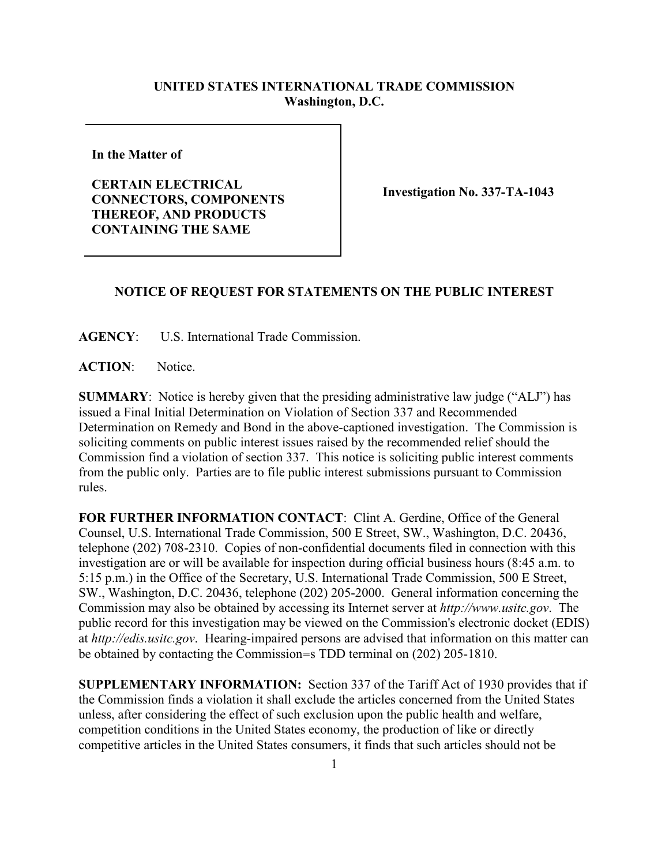## **UNITED STATES INTERNATIONAL TRADE COMMISSION Washington, D.C.**

**In the Matter of** 

**CERTAIN ELECTRICAL CONNECTORS, COMPONENTS THEREOF, AND PRODUCTS CONTAINING THE SAME**

**Investigation No. 337-TA-1043**

## **NOTICE OF REQUEST FOR STATEMENTS ON THE PUBLIC INTEREST**

**AGENCY**: U.S. International Trade Commission.

**ACTION**: Notice.

**SUMMARY**: Notice is hereby given that the presiding administrative law judge ("ALJ") has issued a Final Initial Determination on Violation of Section 337 and Recommended Determination on Remedy and Bond in the above-captioned investigation. The Commission is soliciting comments on public interest issues raised by the recommended relief should the Commission find a violation of section 337. This notice is soliciting public interest comments from the public only. Parties are to file public interest submissions pursuant to Commission rules.

FOR FURTHER INFORMATION CONTACT: Clint A. Gerdine, Office of the General Counsel, U.S. International Trade Commission, 500 E Street, SW., Washington, D.C. 20436, telephone (202) 708-2310. Copies of non-confidential documents filed in connection with this investigation are or will be available for inspection during official business hours (8:45 a.m. to 5:15 p.m.) in the Office of the Secretary, U.S. International Trade Commission, 500 E Street, SW., Washington, D.C. 20436, telephone (202) 205-2000. General information concerning the Commission may also be obtained by accessing its Internet server at *http://www.usitc.gov*. The public record for this investigation may be viewed on the Commission's electronic docket (EDIS) at *http://edis.usitc.gov*. Hearing-impaired persons are advised that information on this matter can be obtained by contacting the Commission=s TDD terminal on (202) 205-1810.

**SUPPLEMENTARY INFORMATION:** Section 337 of the Tariff Act of 1930 provides that if the Commission finds a violation it shall exclude the articles concerned from the United States unless, after considering the effect of such exclusion upon the public health and welfare, competition conditions in the United States economy, the production of like or directly competitive articles in the United States consumers, it finds that such articles should not be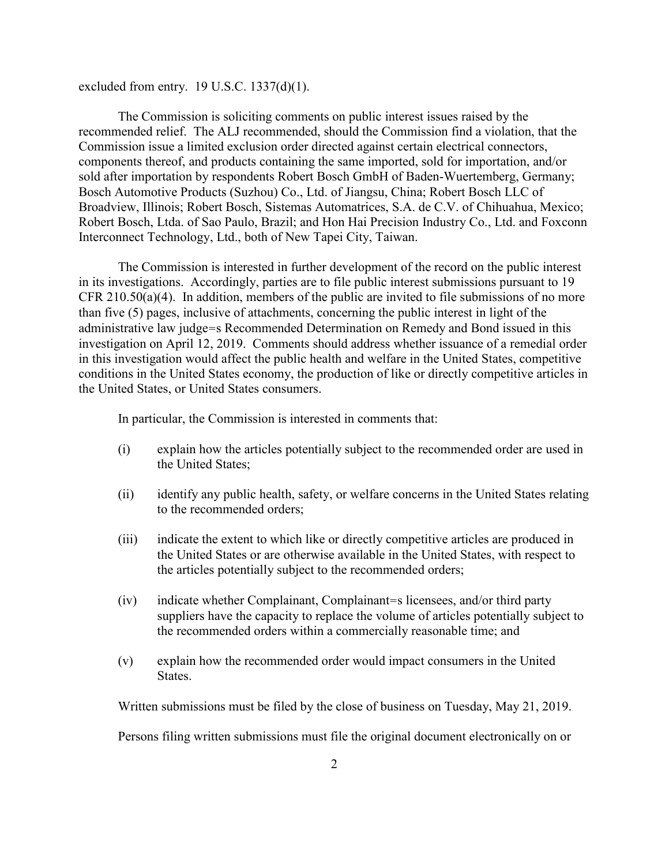excluded from entry.  $19$  U.S.C.  $1337(d)(1)$ .

The Commission is soliciting comments on public interest issues raised by the recommended relief. The ALJ recommended, should the Commission find a violation, that the Commission issue a limited exclusion order directed against certain electrical connectors, components thereof, and products containing the same imported, sold for importation, and/or sold after importation by respondents Robert Bosch GmbH of Baden-Wuertemberg, Germany; Bosch Automotive Products (Suzhou) Co., Ltd. of Jiangsu, China; Robert Bosch LLC of Broadview, Illinois; Robert Bosch, Sistemas Automatrices, S.A. de C.V. of Chihuahua, Mexico; Robert Bosch, Ltda. of Sao Paulo, Brazil; and Hon Hai Precision Industry Co., Ltd. and Foxconn Interconnect Technology, Ltd., both of New Tapei City, Taiwan.

The Commission is interested in further development of the record on the public interest in its investigations. Accordingly, parties are to file public interest submissions pursuant to 19 CFR 210.50(a)(4). In addition, members of the public are invited to file submissions of no more than five (5) pages, inclusive of attachments, concerning the public interest in light of the administrative law judge=s Recommended Determination on Remedy and Bond issued in this investigation on April 12, 2019. Comments should address whether issuance of a remedial order in this investigation would affect the public health and welfare in the United States, competitive conditions in the United States economy, the production of like or directly competitive articles in the United States, or United States consumers.

In particular, the Commission is interested in comments that:

- (i) explain how the articles potentially subject to the recommended order are used in the United States;
- (ii) identify any public health, safety, or welfare concerns in the United States relating to the recommended orders;
- (iii) indicate the extent to which like or directly competitive articles are produced in the United States or are otherwise available in the United States, with respect to the articles potentially subject to the recommended orders;
- (iv) indicate whether Complainant, Complainant=s licensees, and/or third party suppliers have the capacity to replace the volume of articles potentially subject to the recommended orders within a commercially reasonable time; and
- (v) explain how the recommended order would impact consumers in the United States.

Written submissions must be filed by the close of business on Tuesday, May 21, 2019.

Persons filing written submissions must file the original document electronically on or